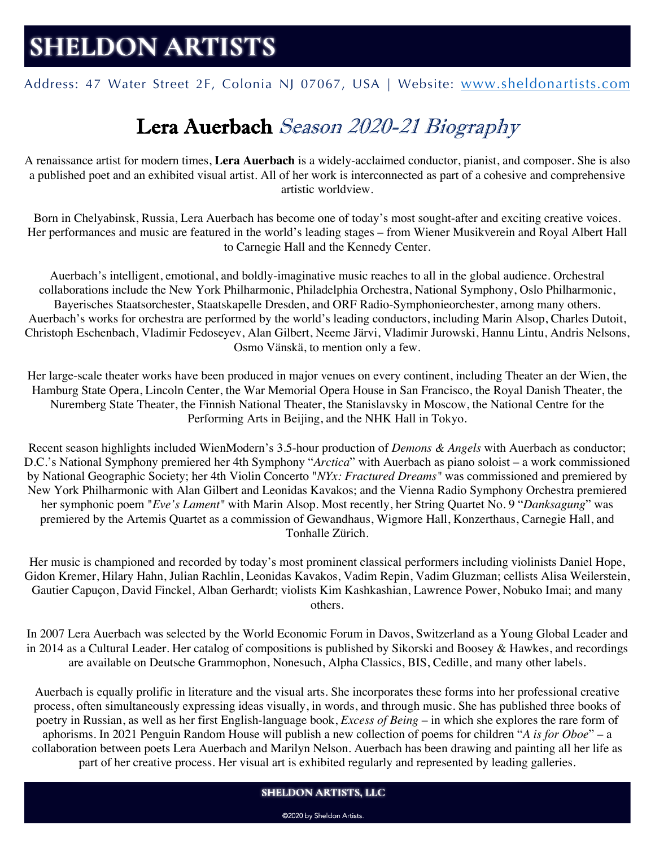# **SHELDON ARTISTS**

Address: 47 Water Street 2F, Colonia NJ 07067, USA | Website: www.sheldonartists.com

# Lera Auerbach Season 2020-21 Biography

A renaissance artist for modern times, **Lera Auerbach** is a widely-acclaimed conductor, pianist, and composer. She is also a published poet and an exhibited visual artist. All of her work is interconnected as part of a cohesive and comprehensive artistic worldview.

Born in Chelyabinsk, Russia, Lera Auerbach has become one of today's most sought-after and exciting creative voices. Her performances and music are featured in the world's leading stages – from Wiener Musikverein and Royal Albert Hall to Carnegie Hall and the Kennedy Center.

Auerbach's intelligent, emotional, and boldly-imaginative music reaches to all in the global audience. Orchestral collaborations include the New York Philharmonic, Philadelphia Orchestra, National Symphony, Oslo Philharmonic, Bayerisches Staatsorchester, Staatskapelle Dresden, and ORF Radio-Symphonieorchester, among many others. Auerbach's works for orchestra are performed by the world's leading conductors, including Marin Alsop, Charles Dutoit, Christoph Eschenbach, Vladimir Fedoseyev, Alan Gilbert, Neeme Järvi, Vladimir Jurowski, Hannu Lintu, Andris Nelsons, Osmo Vänskä, to mention only a few.

Her large-scale theater works have been produced in major venues on every continent, including Theater an der Wien, the Hamburg State Opera, Lincoln Center, the War Memorial Opera House in San Francisco, the Royal Danish Theater, the Nuremberg State Theater, the Finnish National Theater, the Stanislavsky in Moscow, the National Centre for the Performing Arts in Beijing, and the NHK Hall in Tokyo.

Recent season highlights included WienModern's 3.5-hour production of *Demons & Angels* with Auerbach as conductor; D.C.'s National Symphony premiered her 4th Symphony "*Arctica*" with Auerbach as piano soloist – a work commissioned by National Geographic Society; her 4th Violin Concerto "*NYx: Fractured Dreams"* was commissioned and premiered by New York Philharmonic with Alan Gilbert and Leonidas Kavakos; and the Vienna Radio Symphony Orchestra premiered her symphonic poem "*Eve's Lament"* with Marin Alsop. Most recently, her String Quartet No. 9 "*Danksagung*" was premiered by the Artemis Quartet as a commission of Gewandhaus, Wigmore Hall, Konzerthaus, Carnegie Hall, and Tonhalle Zürich.

Her music is championed and recorded by today's most prominent classical performers including violinists Daniel Hope, Gidon Kremer, Hilary Hahn, Julian Rachlin, Leonidas Kavakos, Vadim Repin, Vadim Gluzman; cellists Alisa Weilerstein, Gautier Capuçon, David Finckel, Alban Gerhardt; violists Kim Kashkashian, Lawrence Power, Nobuko Imai; and many others.

In 2007 Lera Auerbach was selected by the World Economic Forum in Davos, Switzerland as a Young Global Leader and in 2014 as a Cultural Leader. Her catalog of compositions is published by Sikorski and Boosey & Hawkes, and recordings are available on Deutsche Grammophon, Nonesuch, Alpha Classics, BIS, Cedille, and many other labels.

Auerbach is equally prolific in literature and the visual arts. She incorporates these forms into her professional creative process, often simultaneously expressing ideas visually, in words, and through music. She has published three books of poetry in Russian, as well as her first English-language book, *Excess of Being* – in which she explores the rare form of aphorisms. In 2021 Penguin Random House will publish a new collection of poems for children "*A is for Oboe*" – a collaboration between poets Lera Auerbach and Marilyn Nelson. Auerbach has been drawing and painting all her life as part of her creative process. Her visual art is exhibited regularly and represented by leading galleries.

#### **SHELDON ARTISTS, LLC**

@2020 by Sheldon Artists.